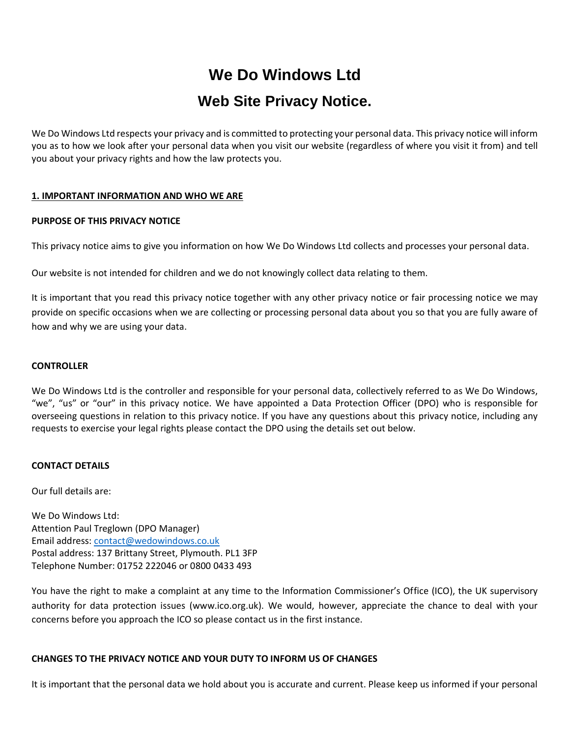# **We Do Windows Ltd Web Site Privacy Notice.**

We Do Windows Ltd respects your privacy and is committed to protecting your personal data. This privacy notice will inform you as to how we look after your personal data when you visit our website (regardless of where you visit it from) and tell you about your privacy rights and how the law protects you.

# **1. IMPORTANT INFORMATION AND WHO WE ARE**

# **PURPOSE OF THIS PRIVACY NOTICE**

This privacy notice aims to give you information on how We Do Windows Ltd collects and processes your personal data.

Our website is not intended for children and we do not knowingly collect data relating to them.

It is important that you read this privacy notice together with any other privacy notice or fair processing notice we may provide on specific occasions when we are collecting or processing personal data about you so that you are fully aware of how and why we are using your data.

#### **CONTROLLER**

We Do Windows Ltd is the controller and responsible for your personal data, collectively referred to as We Do Windows, "we", "us" or "our" in this privacy notice. We have appointed a Data Protection Officer (DPO) who is responsible for overseeing questions in relation to this privacy notice. If you have any questions about this privacy notice, including any requests to exercise your legal rights please contact the DPO using the details set out below.

# <span id="page-0-0"></span>**CONTACT DETAILS**

Our full details are:

We Do Windows Ltd: Attention Paul Treglown (DPO Manager) Email address: [contact@wedowindows.co.uk](mailto:contact@wedowindows.co.uk) Postal address: 137 Brittany Street, Plymouth. PL1 3FP Telephone Number: 01752 222046 or 0800 0433 493

You have the right to make a complaint at any time to the Information Commissioner's Office (ICO), the UK supervisory authority for data protection issues [\(www.ico.org.uk\)](http://www.ico.org.uk/). We would, however, appreciate the chance to deal with your concerns before you approach the ICO so please contact us in the first instance.

# **CHANGES TO THE PRIVACY NOTICE AND YOUR DUTY TO INFORM US OF CHANGES**

It is important that the personal data we hold about you is accurate and current. Please keep us informed if your personal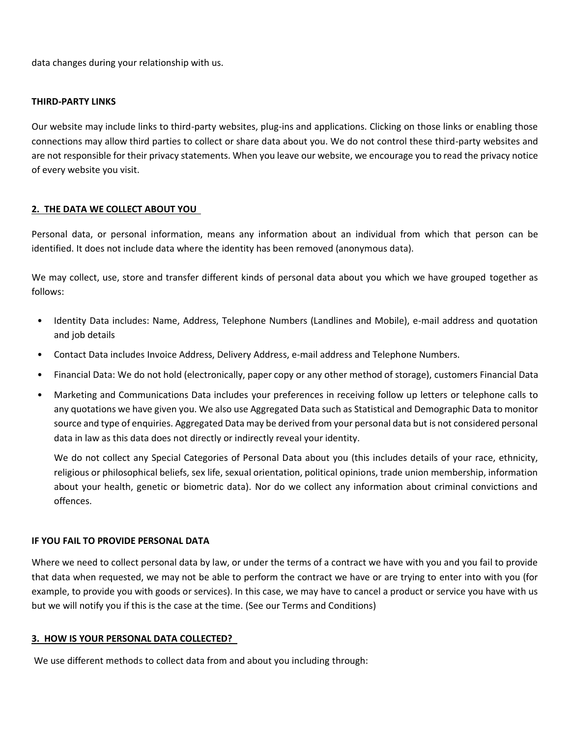data changes during your relationship with us.

#### **THIRD-PARTY LINKS**

Our website may include links to third-party websites, plug-ins and applications. Clicking on those links or enabling those connections may allow third parties to collect or share data about you. We do not control these third-party websites and are not responsible for their privacy statements. When you leave our website, we encourage you to read the privacy notice of every website you visit.

# **2. THE DATA WE COLLECT ABOUT YOU**

Personal data, or personal information, means any information about an individual from which that person can be identified. It does not include data where the identity has been removed (anonymous data).

We may collect, use, store and transfer different kinds of personal data about you which we have grouped together as follows:

- Identity Data includes: Name, Address, Telephone Numbers (Landlines and Mobile), e-mail address and quotation and job details
- Contact Data includes Invoice Address, Delivery Address, e-mail address and Telephone Numbers.
- Financial Data: We do not hold (electronically, paper copy or any other method of storage), customers Financial Data
- Marketing and Communications Data includes your preferences in receiving follow up letters or telephone calls to any quotations we have given you. We also use Aggregated Data such as Statistical and Demographic Data to monitor source and type of enquiries. Aggregated Data may be derived from your personal data but is not considered personal data in law as this data does not directly or indirectly reveal your identity.

We do not collect any Special Categories of Personal Data about you (this includes details of your race, ethnicity, religious or philosophical beliefs, sex life, sexual orientation, political opinions, trade union membership, information about your health, genetic or biometric data). Nor do we collect any information about criminal convictions and offences.

#### **IF YOU FAIL TO PROVIDE PERSONAL DATA**

Where we need to collect personal data by law, or under the terms of a contract we have with you and you fail to provide that data when requested, we may not be able to perform the contract we have or are trying to enter into with you (for example, to provide you with goods or services). In this case, we may have to cancel a product or service you have with us but we will notify you if this is the case at the time. (See our Terms and Conditions)

#### **3. HOW IS YOUR PERSONAL DATA COLLECTED?**

We use different methods to collect data from and about you including through: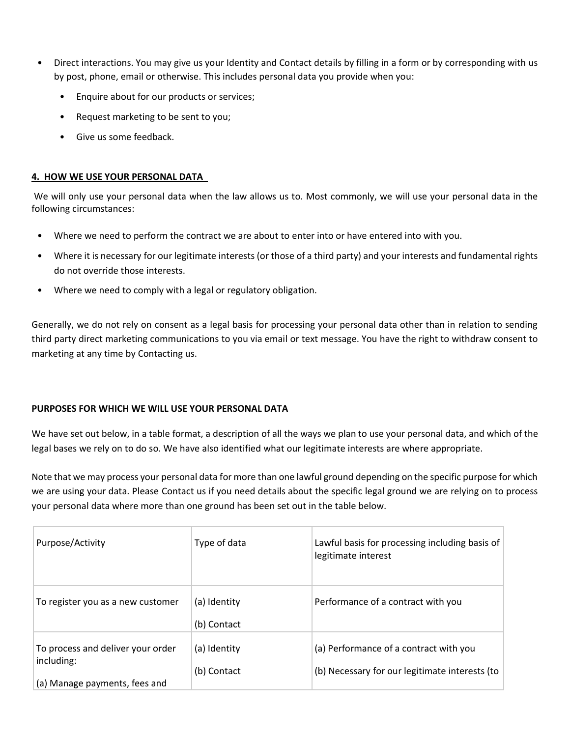- Direct interactions. You may give us your Identity and Contact details by filling in a form or by corresponding with us by post, phone, email or otherwise. This includes personal data you provide when you:
	- Enquire about for our products or services;
	- Request marketing to be sent to you;
	- Give us some feedback.

# **4. HOW WE USE YOUR PERSONAL DATA**

We will only use your personal data when the law allows us to. Most commonly, we will use your personal data in the following circumstances:

- Where we need to perform the contract we are about to enter into or have entered into with you.
- Where it is necessary for our legitimate interests (or those of a third party) and your interests and fundamental rights do not override those interests.
- Where we need to comply with a legal or regulatory obligation.

Generally, we do not rely on consent as a legal basis for processing your personal data other than in relation to sending third party direct marketing communications to you via email or text message. You have the right to withdraw consent to marketing at any time by [Contacting us.](#page-0-0)

# **PURPOSES FOR WHICH WE WILL USE YOUR PERSONAL DATA**

We have set out below, in a table format, a description of all the ways we plan to use your personal data, and which of the legal bases we rely on to do so. We have also identified what our legitimate interests are where appropriate.

Note that we may process your personal data for more than one lawful ground depending on the specific purpose for which we are using your data. Please [Contact us](#page-0-0) if you need details about the specific legal ground we are relying on to process your personal data where more than one ground has been set out in the table below.

| Purpose/Activity                                                                 | Type of data                | Lawful basis for processing including basis of<br>legitimate interest                    |
|----------------------------------------------------------------------------------|-----------------------------|------------------------------------------------------------------------------------------|
| To register you as a new customer                                                | (a) Identity<br>(b) Contact | Performance of a contract with you                                                       |
| To process and deliver your order<br>including:<br>(a) Manage payments, fees and | (a) Identity<br>(b) Contact | (a) Performance of a contract with you<br>(b) Necessary for our legitimate interests (to |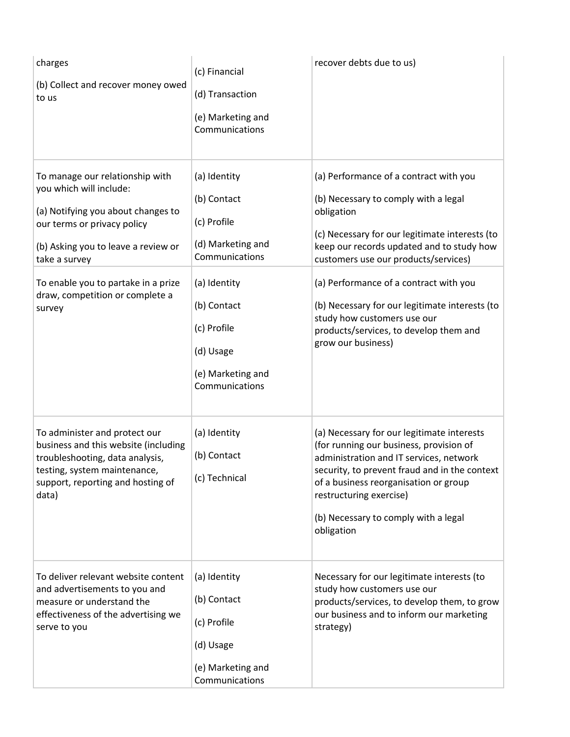| charges<br>(b) Collect and recover money owed<br>to us                                                                                                                                  | (c) Financial<br>(d) Transaction<br>(e) Marketing and<br>Communications                        | recover debts due to us)                                                                                                                                                                                                                                                                                    |
|-----------------------------------------------------------------------------------------------------------------------------------------------------------------------------------------|------------------------------------------------------------------------------------------------|-------------------------------------------------------------------------------------------------------------------------------------------------------------------------------------------------------------------------------------------------------------------------------------------------------------|
| To manage our relationship with<br>you which will include:<br>(a) Notifying you about changes to<br>our terms or privacy policy<br>(b) Asking you to leave a review or<br>take a survey | (a) Identity<br>(b) Contact<br>(c) Profile<br>(d) Marketing and<br>Communications              | (a) Performance of a contract with you<br>(b) Necessary to comply with a legal<br>obligation<br>(c) Necessary for our legitimate interests (to<br>keep our records updated and to study how<br>customers use our products/services)                                                                         |
| To enable you to partake in a prize<br>draw, competition or complete a<br>survey                                                                                                        | (a) Identity<br>(b) Contact<br>(c) Profile<br>(d) Usage<br>(e) Marketing and<br>Communications | (a) Performance of a contract with you<br>(b) Necessary for our legitimate interests (to<br>study how customers use our<br>products/services, to develop them and<br>grow our business)                                                                                                                     |
| To administer and protect our<br>business and this website (including<br>troubleshooting, data analysis,<br>testing, system maintenance<br>support, reporting and hosting of<br>data)   | (a) Identity<br>(b) Contact<br>(c) Technical                                                   | (a) Necessary for our legitimate interests<br>(for running our business, provision of<br>administration and IT services, network<br>security, to prevent fraud and in the context<br>of a business reorganisation or group<br>restructuring exercise)<br>(b) Necessary to comply with a legal<br>obligation |
| To deliver relevant website content<br>and advertisements to you and<br>measure or understand the<br>effectiveness of the advertising we<br>serve to you                                | (a) Identity<br>(b) Contact<br>(c) Profile<br>(d) Usage<br>(e) Marketing and<br>Communications | Necessary for our legitimate interests (to<br>study how customers use our<br>products/services, to develop them, to grow<br>our business and to inform our marketing<br>strategy)                                                                                                                           |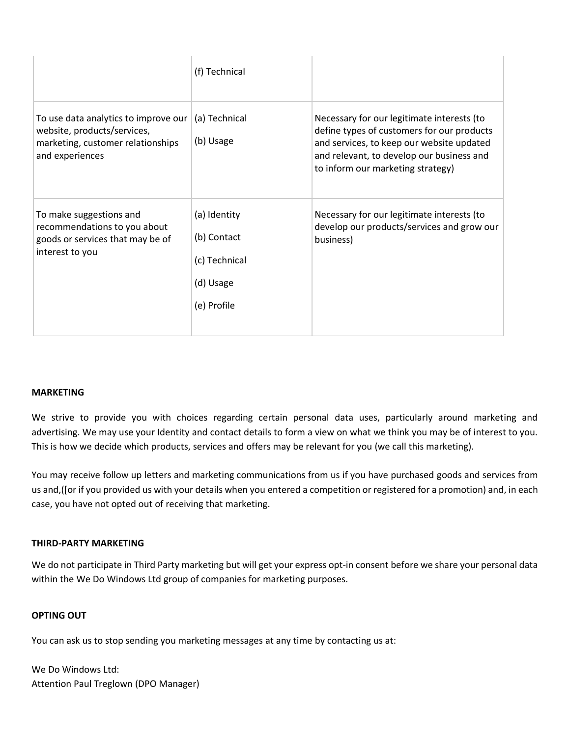|                                                                                                                             | (f) Technical                                                            |                                                                                                                                                                                                                         |
|-----------------------------------------------------------------------------------------------------------------------------|--------------------------------------------------------------------------|-------------------------------------------------------------------------------------------------------------------------------------------------------------------------------------------------------------------------|
| To use data analytics to improve our<br>website, products/services,<br>marketing, customer relationships<br>and experiences | (a) Technical<br>(b) Usage                                               | Necessary for our legitimate interests (to<br>define types of customers for our products<br>and services, to keep our website updated<br>and relevant, to develop our business and<br>to inform our marketing strategy) |
| To make suggestions and<br>recommendations to you about<br>goods or services that may be of<br>interest to you              | (a) Identity<br>(b) Contact<br>(c) Technical<br>(d) Usage<br>(e) Profile | Necessary for our legitimate interests (to<br>develop our products/services and grow our<br>business)                                                                                                                   |

# **MARKETING**

We strive to provide you with choices regarding certain personal data uses, particularly around marketing and advertising. We may use your Identity and contact details to form a view on what we think you may be of interest to you. This is how we decide which products, services and offers may be relevant for you (we call this marketing).

You may receive follow up letters and marketing communications from us if you have purchased goods and services from us and,([or if you provided us with your details when you entered a competition or registered for a promotion) and, in each case, you have not opted out of receiving that marketing.

#### **THIRD-PARTY MARKETING**

We do not participate in Third Party marketing but will get your express opt-in consent before we share your personal data within the We Do Windows Ltd group of companies for marketing purposes.

#### **OPTING OUT**

You can ask us to stop sending you marketing messages at any time by contacting us at:

We Do Windows Ltd: Attention Paul Treglown (DPO Manager)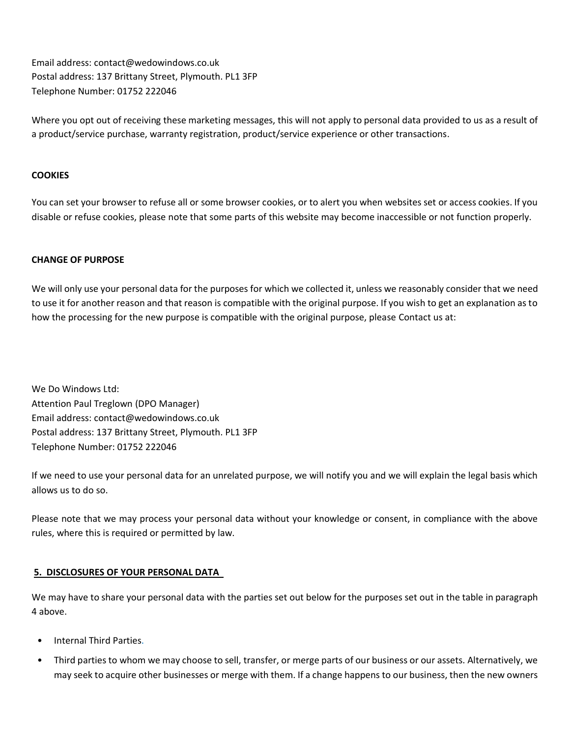Email address: contact@wedowindows.co.uk Postal address: 137 Brittany Street, Plymouth. PL1 3FP Telephone Number: 01752 222046

Where you opt out of receiving these marketing messages, this will not apply to personal data provided to us as a result of a product/service purchase, warranty registration, product/service experience or other transactions.

# **COOKIES**

You can set your browser to refuse all or some browser cookies, or to alert you when websites set or access cookies. If you disable or refuse cookies, please note that some parts of this website may become inaccessible or not function properly.

# **CHANGE OF PURPOSE**

We will only use your personal data for the purposes for which we collected it, unless we reasonably consider that we need to use it for another reason and that reason is compatible with the original purpose. If you wish to get an explanation as to how the processing for the new purpose is compatible with the original purpose, please [Contact us](#page-0-0) at:

We Do Windows Ltd: Attention Paul Treglown (DPO Manager) Email address: contact@wedowindows.co.uk Postal address: 137 Brittany Street, Plymouth. PL1 3FP Telephone Number: 01752 222046

If we need to use your personal data for an unrelated purpose, we will notify you and we will explain the legal basis which allows us to do so.

Please note that we may process your personal data without your knowledge or consent, in compliance with the above rules, where this is required or permitted by law.

# **5. DISCLOSURES OF YOUR PERSONAL DATA**

We may have to share your personal data with the parties set out below for the purposes set out in the table in paragraph 4 above.

- Internal Third Parties.
- Third parties to whom we may choose to sell, transfer, or merge parts of our business or our assets. Alternatively, we may seek to acquire other businesses or merge with them. If a change happens to our business, then the new owners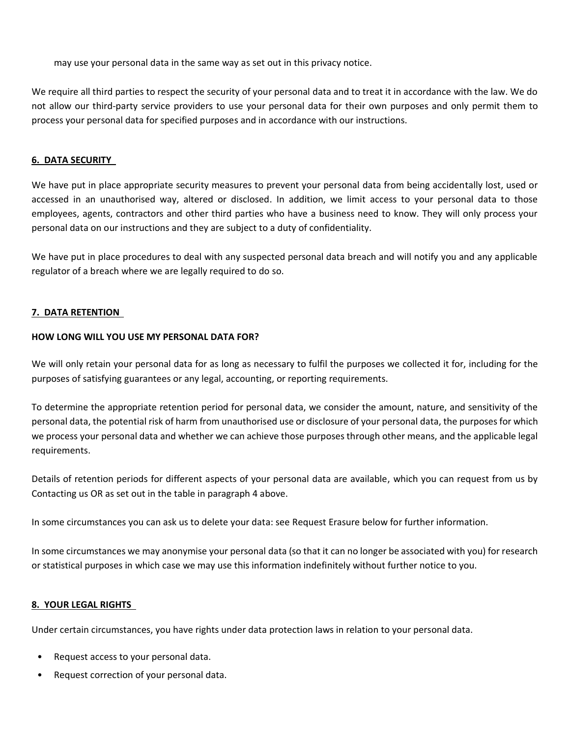may use your personal data in the same way as set out in this privacy notice.

We require all third parties to respect the security of your personal data and to treat it in accordance with the law. We do not allow our third-party service providers to use your personal data for their own purposes and only permit them to process your personal data for specified purposes and in accordance with our instructions.

# **6. DATA SECURITY**

We have put in place appropriate security measures to prevent your personal data from being accidentally lost, used or accessed in an unauthorised way, altered or disclosed. In addition, we limit access to your personal data to those employees, agents, contractors and other third parties who have a business need to know. They will only process your personal data on our instructions and they are subject to a duty of confidentiality.

We have put in place procedures to deal with any suspected personal data breach and will notify you and any applicable regulator of a breach where we are legally required to do so.

# **7. DATA RETENTION**

# **HOW LONG WILL YOU USE MY PERSONAL DATA FOR?**

We will only retain your personal data for as long as necessary to fulfil the purposes we collected it for, including for the purposes of satisfying guarantees or any legal, accounting, or reporting requirements.

To determine the appropriate retention period for personal data, we consider the amount, nature, and sensitivity of the personal data, the potential risk of harm from unauthorised use or disclosure of your personal data, the purposes for which we process your personal data and whether we can achieve those purposes through other means, and the applicable legal requirements.

Details of retention periods for different aspects of your personal data are available, which you can request from us by [Contacting us](#page-0-0) OR as set out in the table in paragraph 4 above.

In some circumstances you can ask us to delete your data: see Request Erasure below for further information.

In some circumstances we may anonymise your personal data (so that it can no longer be associated with you) for research or statistical purposes in which case we may use this information indefinitely without further notice to you.

# **8. YOUR LEGAL RIGHTS**

Under certain circumstances, you have rights under data protection laws in relation to your personal data.

- Request access to your personal data.
- Request correction of your personal data.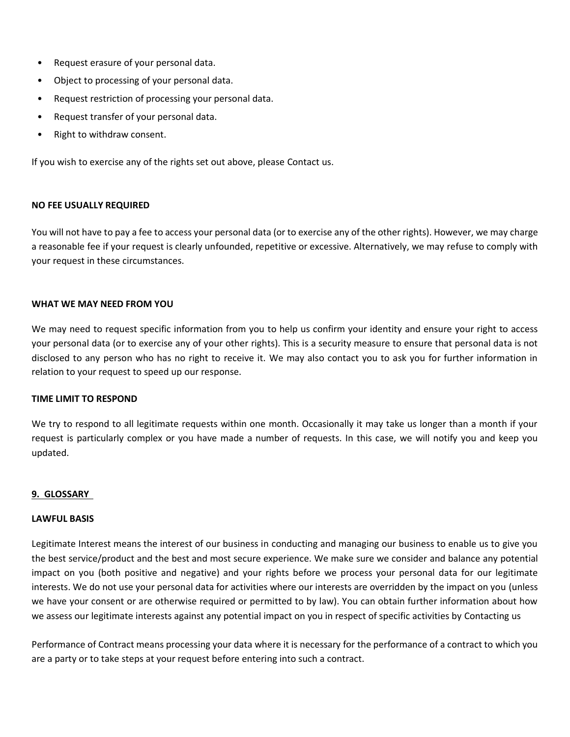- Request erasure of your personal data.
- Object to processing of your personal data.
- Request restriction of processing your personal data.
- Request transfer of your personal data.
- Right to withdraw consent.

If you wish to exercise any of the rights set out above, please [Contact us.](#page-0-0)

#### **NO FEE USUALLY REQUIRED**

You will not have to pay a fee to access your personal data (or to exercise any of the other rights). However, we may charge a reasonable fee if your request is clearly unfounded, repetitive or excessive. Alternatively, we may refuse to comply with your request in these circumstances.

#### **WHAT WE MAY NEED FROM YOU**

We may need to request specific information from you to help us confirm your identity and ensure your right to access your personal data (or to exercise any of your other rights). This is a security measure to ensure that personal data is not disclosed to any person who has no right to receive it. We may also contact you to ask you for further information in relation to your request to speed up our response.

#### **TIME LIMIT TO RESPOND**

We try to respond to all legitimate requests within one month. Occasionally it may take us longer than a month if your request is particularly complex or you have made a number of requests. In this case, we will notify you and keep you updated.

#### **9. GLOSSARY**

#### **LAWFUL BASIS**

Legitimate Interest means the interest of our business in conducting and managing our business to enable us to give you the best service/product and the best and most secure experience. We make sure we consider and balance any potential impact on you (both positive and negative) and your rights before we process your personal data for our legitimate interests. We do not use your personal data for activities where our interests are overridden by the impact on you (unless we have your consent or are otherwise required or permitted to by law). You can obtain further information about how we assess our legitimate interests against any potential impact on you in respect of specific activities by [Contacting us](#page-0-0)

Performance of Contract means processing your data where it is necessary for the performance of a contract to which you are a party or to take steps at your request before entering into such a contract.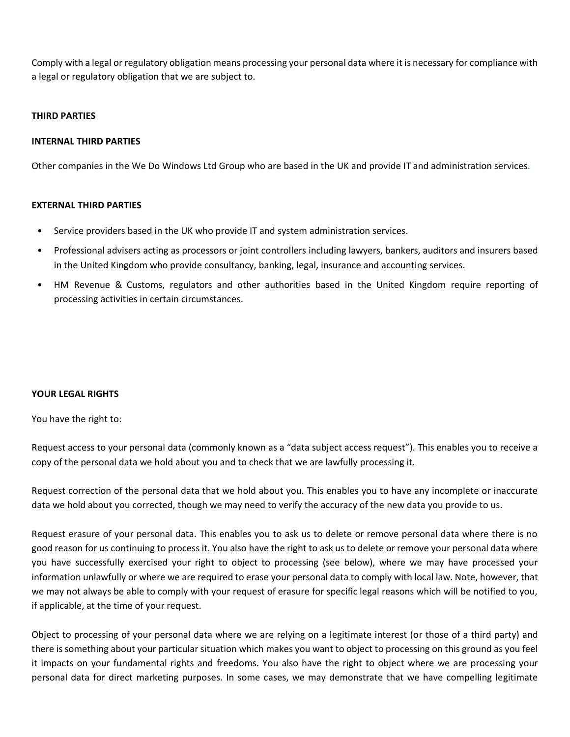Comply with a legal or regulatory obligation means processing your personal data where it is necessary for compliance with a legal or regulatory obligation that we are subject to.

#### **THIRD PARTIES**

#### **INTERNAL THIRD PARTIES**

Other companies in the We Do Windows Ltd Group who are based in the UK and provide IT and administration services.

#### **EXTERNAL THIRD PARTIES**

- Service providers based in the UK who provide IT and system administration services.
- Professional advisers acting as processors or joint controllers including lawyers, bankers, auditors and insurers based in the United Kingdom who provide consultancy, banking, legal, insurance and accounting services.
- HM Revenue & Customs, regulators and other authorities based in the United Kingdom require reporting of processing activities in certain circumstances.

#### **YOUR LEGAL RIGHTS**

You have the right to:

Request access to your personal data (commonly known as a "data subject access request"). This enables you to receive a copy of the personal data we hold about you and to check that we are lawfully processing it.

Request correction of the personal data that we hold about you. This enables you to have any incomplete or inaccurate data we hold about you corrected, though we may need to verify the accuracy of the new data you provide to us.

Request erasure of your personal data. This enables you to ask us to delete or remove personal data where there is no good reason for us continuing to process it. You also have the right to ask us to delete or remove your personal data where you have successfully exercised your right to object to processing (see below), where we may have processed your information unlawfully or where we are required to erase your personal data to comply with local law. Note, however, that we may not always be able to comply with your request of erasure for specific legal reasons which will be notified to you, if applicable, at the time of your request.

Object to processing of your personal data where we are relying on a legitimate interest (or those of a third party) and there is something about your particular situation which makes you want to object to processing on this ground as you feel it impacts on your fundamental rights and freedoms. You also have the right to object where we are processing your personal data for direct marketing purposes. In some cases, we may demonstrate that we have compelling legitimate